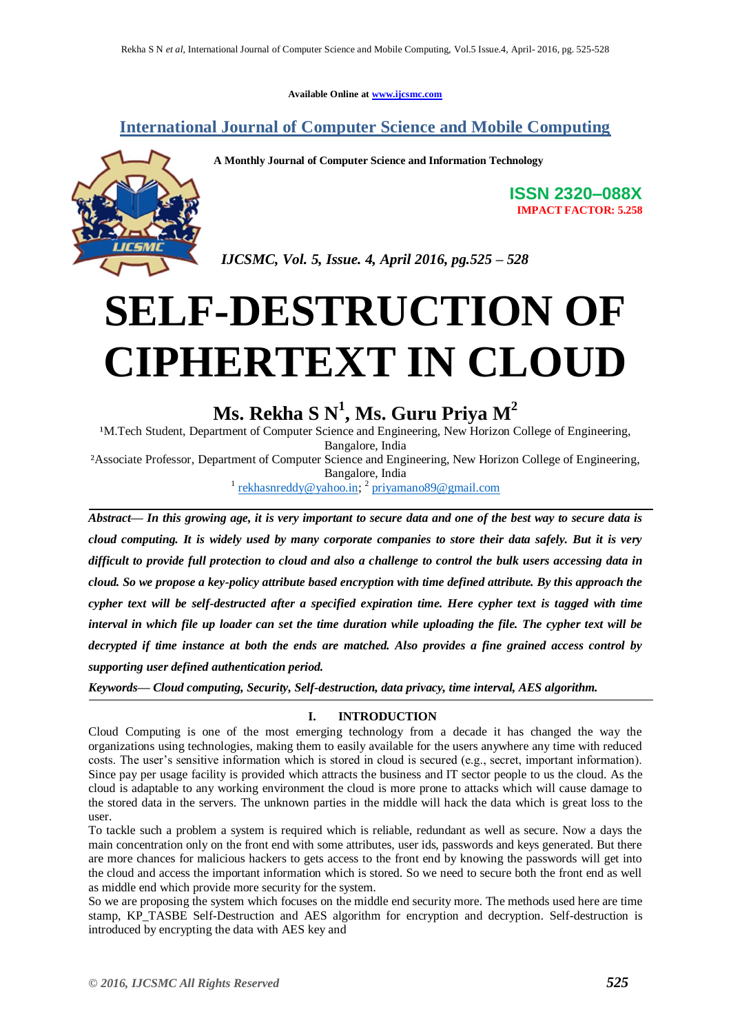**Available Online at [www.ijcsmc.com](http://www.ijcsmc.com/)**

### **International Journal of Computer Science and Mobile Computing**

**A Monthly Journal of Computer Science and Information Technology**

**ISSN 2320–088X IMPACT FACTOR: 5.258**

 *IJCSMC, Vol. 5, Issue. 4, April 2016, pg.525 – 528*

# **SELF-DESTRUCTION OF CIPHERTEXT IN CLOUD**

## **Ms. Rekha S N<sup>1</sup> , Ms. Guru Priya M<sup>2</sup>**

<sup>1</sup>M.Tech Student, Department of Computer Science and Engineering, New Horizon College of Engineering, Bangalore, India

²Associate Professor, Department of Computer Science and Engineering, New Horizon College of Engineering, Bangalore, India

<sup>1</sup> [rekhasnreddy@yahoo.in;](mailto:rekhasnreddy@yahoo.in) <sup>2</sup> [priyamano89@gmail.com](mailto:priyamano89@gmail.com)

*Abstract— In this growing age, it is very important to secure data and one of the best way to secure data is cloud computing. It is widely used by many corporate companies to store their data safely. But it is very difficult to provide full protection to cloud and also a challenge to control the bulk users accessing data in cloud. So we propose a key-policy attribute based encryption with time defined attribute. By this approach the cypher text will be self-destructed after a specified expiration time. Here cypher text is tagged with time interval in which file up loader can set the time duration while uploading the file. The cypher text will be decrypted if time instance at both the ends are matched. Also provides a fine grained access control by supporting user defined authentication period.*

*Keywords— Cloud computing, Security, Self-destruction, data privacy, time interval, AES algorithm.*

#### **I. INTRODUCTION**

Cloud Computing is one of the most emerging technology from a decade it has changed the way the organizations using technologies, making them to easily available for the users anywhere any time with reduced costs. The user's sensitive information which is stored in cloud is secured (e.g., secret, important information). Since pay per usage facility is provided which attracts the business and IT sector people to us the cloud. As the cloud is adaptable to any working environment the cloud is more prone to attacks which will cause damage to the stored data in the servers. The unknown parties in the middle will hack the data which is great loss to the user.

To tackle such a problem a system is required which is reliable, redundant as well as secure. Now a days the main concentration only on the front end with some attributes, user ids, passwords and keys generated. But there are more chances for malicious hackers to gets access to the front end by knowing the passwords will get into the cloud and access the important information which is stored. So we need to secure both the front end as well as middle end which provide more security for the system.

So we are proposing the system which focuses on the middle end security more. The methods used here are time stamp, KP\_TASBE Self-Destruction and AES algorithm for encryption and decryption. Self-destruction is introduced by encrypting the data with AES key and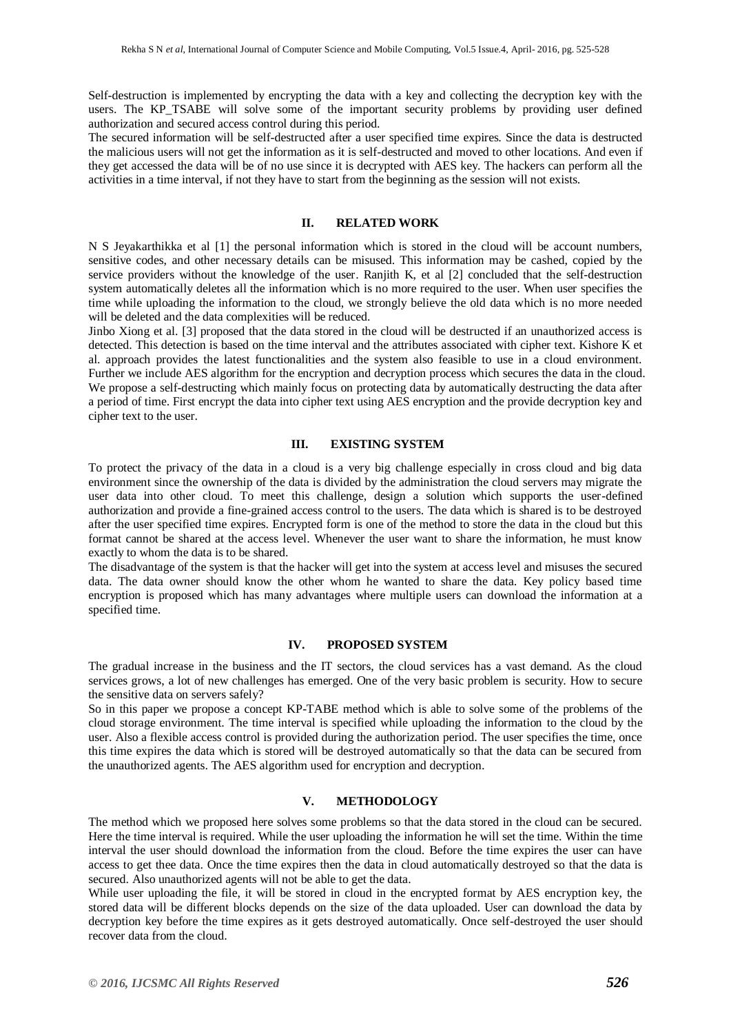Self-destruction is implemented by encrypting the data with a key and collecting the decryption key with the users. The KP TSABE will solve some of the important security problems by providing user defined authorization and secured access control during this period.

The secured information will be self-destructed after a user specified time expires. Since the data is destructed the malicious users will not get the information as it is self-destructed and moved to other locations. And even if they get accessed the data will be of no use since it is decrypted with AES key. The hackers can perform all the activities in a time interval, if not they have to start from the beginning as the session will not exists.

#### **II. RELATED WORK**

N S Jeyakarthikka et al [1] the personal information which is stored in the cloud will be account numbers, sensitive codes, and other necessary details can be misused. This information may be cashed, copied by the service providers without the knowledge of the user. Ranjith K, et al [2] concluded that the self-destruction system automatically deletes all the information which is no more required to the user. When user specifies the time while uploading the information to the cloud, we strongly believe the old data which is no more needed will be deleted and the data complexities will be reduced.

Jinbo Xiong et al. [3] proposed that the data stored in the cloud will be destructed if an unauthorized access is detected. This detection is based on the time interval and the attributes associated with cipher text. Kishore K et al. approach provides the latest functionalities and the system also feasible to use in a cloud environment. Further we include AES algorithm for the encryption and decryption process which secures the data in the cloud. We propose a self-destructing which mainly focus on protecting data by automatically destructing the data after a period of time. First encrypt the data into cipher text using AES encryption and the provide decryption key and cipher text to the user.

#### **III. EXISTING SYSTEM**

To protect the privacy of the data in a cloud is a very big challenge especially in cross cloud and big data environment since the ownership of the data is divided by the administration the cloud servers may migrate the user data into other cloud. To meet this challenge, design a solution which supports the user-defined authorization and provide a fine-grained access control to the users. The data which is shared is to be destroyed after the user specified time expires. Encrypted form is one of the method to store the data in the cloud but this format cannot be shared at the access level. Whenever the user want to share the information, he must know exactly to whom the data is to be shared.

The disadvantage of the system is that the hacker will get into the system at access level and misuses the secured data. The data owner should know the other whom he wanted to share the data. Key policy based time encryption is proposed which has many advantages where multiple users can download the information at a specified time.

#### **IV. PROPOSED SYSTEM**

The gradual increase in the business and the IT sectors, the cloud services has a vast demand. As the cloud services grows, a lot of new challenges has emerged. One of the very basic problem is security. How to secure the sensitive data on servers safely?

So in this paper we propose a concept KP-TABE method which is able to solve some of the problems of the cloud storage environment. The time interval is specified while uploading the information to the cloud by the user. Also a flexible access control is provided during the authorization period. The user specifies the time, once this time expires the data which is stored will be destroyed automatically so that the data can be secured from the unauthorized agents. The AES algorithm used for encryption and decryption.

#### **V. METHODOLOGY**

The method which we proposed here solves some problems so that the data stored in the cloud can be secured. Here the time interval is required. While the user uploading the information he will set the time. Within the time interval the user should download the information from the cloud. Before the time expires the user can have access to get thee data. Once the time expires then the data in cloud automatically destroyed so that the data is secured. Also unauthorized agents will not be able to get the data.

While user uploading the file, it will be stored in cloud in the encrypted format by AES encryption key, the stored data will be different blocks depends on the size of the data uploaded. User can download the data by decryption key before the time expires as it gets destroyed automatically. Once self-destroyed the user should recover data from the cloud.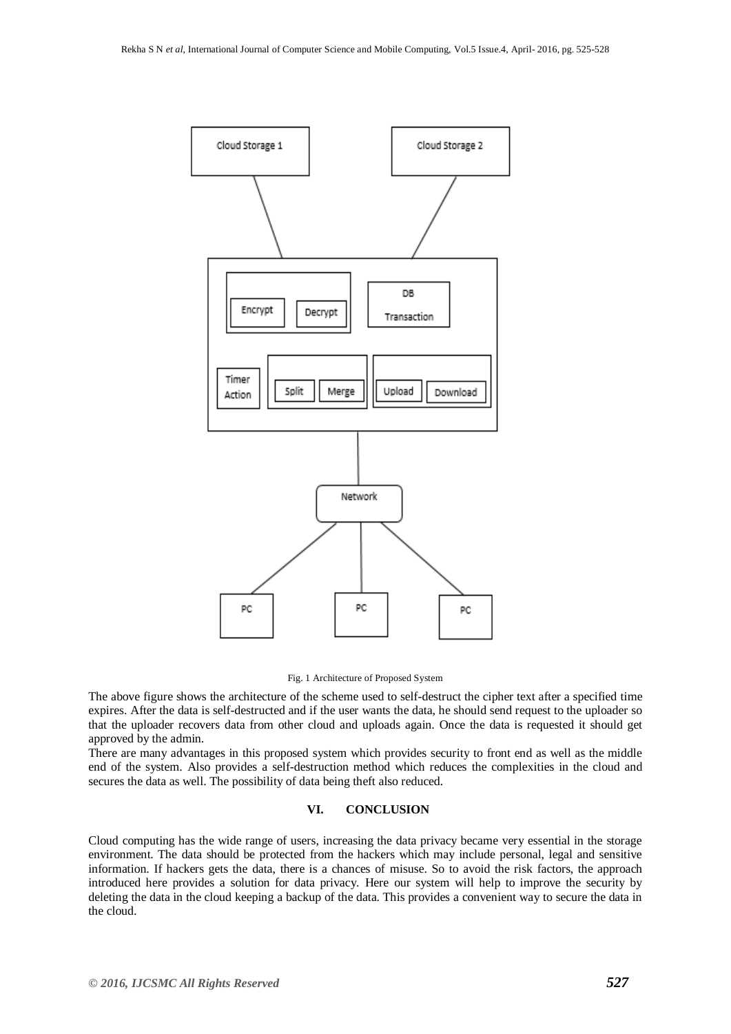



The above figure shows the architecture of the scheme used to self-destruct the cipher text after a specified time expires. After the data is self-destructed and if the user wants the data, he should send request to the uploader so that the uploader recovers data from other cloud and uploads again. Once the data is requested it should get approved by the admin.

There are many advantages in this proposed system which provides security to front end as well as the middle end of the system. Also provides a self-destruction method which reduces the complexities in the cloud and secures the data as well. The possibility of data being theft also reduced.

#### **VI. CONCLUSION**

Cloud computing has the wide range of users, increasing the data privacy became very essential in the storage environment. The data should be protected from the hackers which may include personal, legal and sensitive information. If hackers gets the data, there is a chances of misuse. So to avoid the risk factors, the approach introduced here provides a solution for data privacy. Here our system will help to improve the security by deleting the data in the cloud keeping a backup of the data. This provides a convenient way to secure the data in the cloud.